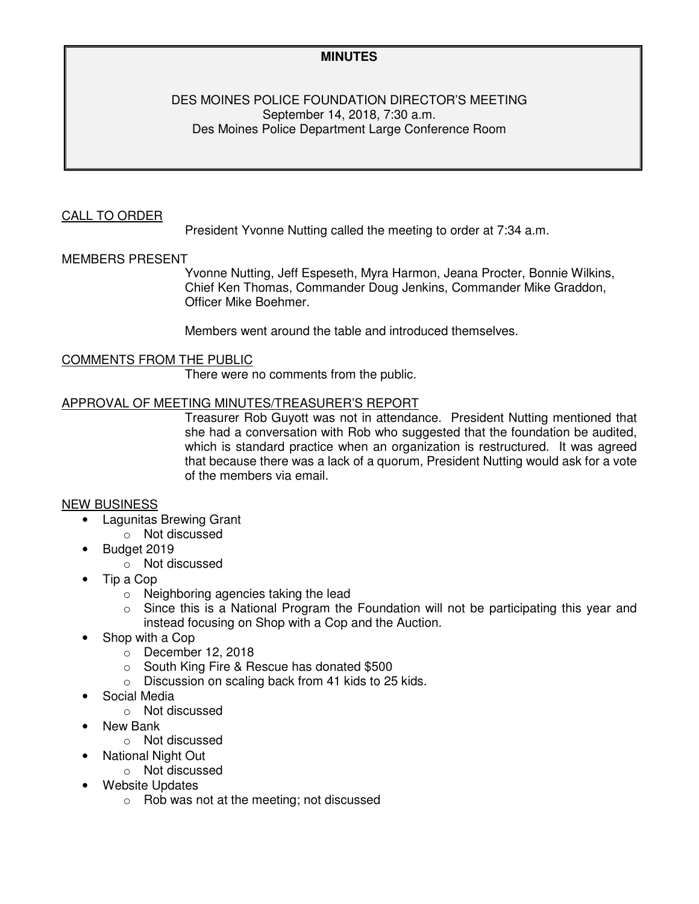## **MINUTES**

### DES MOINES POLICE FOUNDATION DIRECTOR'S MEETING September 14, 2018, 7:30 a.m. Des Moines Police Department Large Conference Room

## CALL TO ORDER

President Yvonne Nutting called the meeting to order at 7:34 a.m.

### MEMBERS PRESENT

Yvonne Nutting, Jeff Espeseth, Myra Harmon, Jeana Procter, Bonnie Wilkins, Chief Ken Thomas, Commander Doug Jenkins, Commander Mike Graddon, Officer Mike Boehmer.

Members went around the table and introduced themselves.

### COMMENTS FROM THE PUBLIC

There were no comments from the public.

#### APPROVAL OF MEETING MINUTES/TREASURER'S REPORT

Treasurer Rob Guyott was not in attendance. President Nutting mentioned that she had a conversation with Rob who suggested that the foundation be audited, which is standard practice when an organization is restructured. It was agreed that because there was a lack of a quorum, President Nutting would ask for a vote of the members via email.

### NEW BUSINESS

- Lagunitas Brewing Grant
	- o Not discussed
- Budget 2019
	- o Not discussed
- Tip a Cop
	- o Neighboring agencies taking the lead
	- $\circ$  Since this is a National Program the Foundation will not be participating this year and instead focusing on Shop with a Cop and the Auction.
- Shop with a Cop
	- o December 12, 2018
	- o South King Fire & Rescue has donated \$500
	- o Discussion on scaling back from 41 kids to 25 kids.
- Social Media
	- o Not discussed
- New Bank
	- o Not discussed
- National Night Out
	- o Not discussed
	- Website Updates
		- o Rob was not at the meeting; not discussed